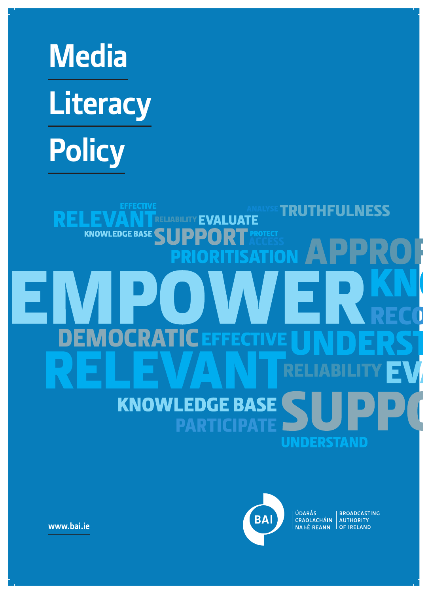# **Media Literacy Policy**

RE

**EFFECTIVE** 

# **KNOWLEDGE BASE** DEMOCRATIC Ξ **KNOWLEDGE BASE UNDERSTAND**

**EVALUATE** 



ÚDARÁS CRAOLACHÁIN AUTHORITY<br>NA hÉIREANN OF IRELAND

**TRUTHFULNESS** 

**BROADCASTING** 

**www.bai.ie**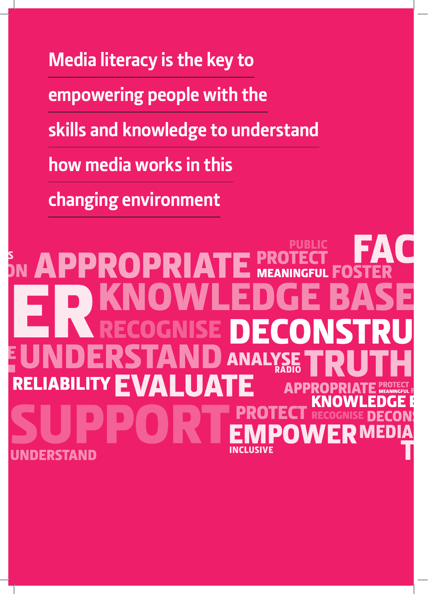**Media literacy is the key to empowering people with the skills and knowledge to understand how media works in this changing environment**

# **PUBLIC** ACCESS RADIO **MEDIA** Ĩ. INCLUSIVE STAND

NEWS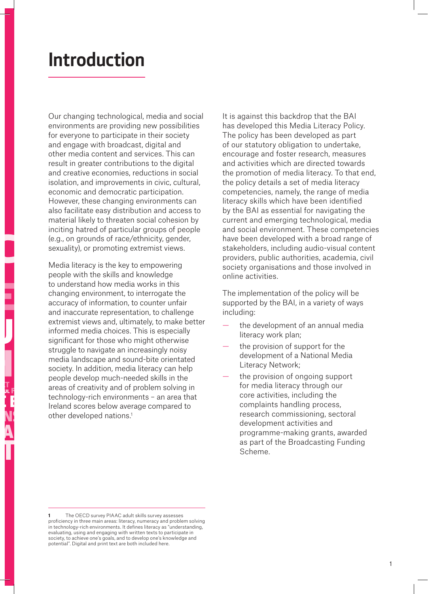# **Introduction**

Our changing technological, media and social environments are providing new possibilities for everyone to participate in their society and engage with broadcast, digital and other media content and services. This can result in greater contributions to the digital and creative economies, reductions in social isolation, and improvements in civic, cultural, economic and democratic participation. However, these changing environments can also facilitate easy distribution and access to material likely to threaten social cohesion by inciting hatred of particular groups of people (e.g., on grounds of race/ethnicity, gender, sexuality), or promoting extremist views.  $\begin{array}{c} m \\ \hline \end{array}$ 

Media literacy is the key to empowering media ineracy is the key to empower<br>people with the skills and knowledge to understand how media works in this changing environment, to interrogate the accuracy of information, to counter unfair and inaccurate representation, to challenge extremist views and, ultimately, to make better informed media choices. This is especially significant for those who might otherwise struggle to navigate an increasingly noisy media landscape and sound-bite orientated society. In addition, media literacy can help people develop much-needed skills in the areas of creativity and of problem solving in technology-rich environments – an area that Ireland scores below average compared to nclarid scores below aver<br>other developed nations.<sup>1</sup> evelop much-needed skills in the<br>treativity and of problem solving<br>"

It is against this backdrop that the BAI has developed this Media Literacy Policy. The policy has been developed as part of our statutory obligation to undertake, encourage and foster research, measures and activities which are directed towards the promotion of media literacy. To that end, the policy details a set of media literacy competencies, namely, the range of media literacy skills which have been identified by the BAI as essential for navigating the current and emerging technological, media and social environment. These competencies have been developed with a broad range of stakeholders, including audio-visual content providers, public authorities, academia, civil society organisations and those involved in online activities.

The implementation of the policy will be supported by the BAI, in a variety of ways including:

- the development of an annual media literacy work plan;
- the provision of support for the development of a National Media Literacy Network;
- the provision of ongoing support for media literacy through our core activities, including the complaints handling process, research commissioning, sectoral development activities and programme-making grants, awarded as part of the Broadcasting Funding Scheme.

**<sup>1</sup>** The OECD survey PIAAC adult skills survey assesses proficiency in three main areas: literacy, numeracy and problem solving in technology-rich environments. It defines literacy as "understanding, evaluating, using and engaging with written texts to participate in society, to achieve one's goals, and to develop one's knowledge and potential". Digital and print text are both included here.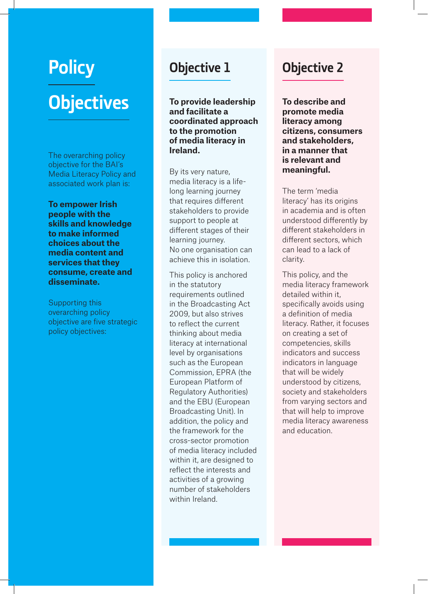# **Policy Objectives**

The overarching policy objective for the BAI's Media Literacy Policy and associated work plan is:

**To empower Irish people with the skills and knowledge to make informed choices about the media content and services that they consume, create and disseminate.**

Supporting this overarching policy objective are five strategic policy objectives:

### **Objective 1**

**To provide leadership and facilitate a coordinated approach to the promotion of media literacy in Ireland.**

By its very nature, media literacy is a lifelong learning journey that requires different stakeholders to provide support to people at different stages of their learning journey. No one organisation can achieve this in isolation.

This policy is anchored in the statutory requirements outlined in the Broadcasting Act 2009, but also strives to reflect the current thinking about media literacy at international level by organisations such as the European Commission, EPRA (the European Platform of Regulatory Authorities) and the EBU (European Broadcasting Unit). In addition, the policy and the framework for the cross-sector promotion of media literacy included within it, are designed to reflect the interests and activities of a growing number of stakeholders within Ireland.

## **Objective 2**

**To describe and promote media literacy among citizens, consumers and stakeholders, in a manner that is relevant and meaningful.**

The term 'media literacy' has its origins in academia and is often understood differently by different stakeholders in different sectors, which can lead to a lack of clarity.

This policy, and the media literacy framework detailed within it, specifically avoids using a definition of media literacy. Rather, it focuses on creating a set of competencies, skills indicators and success indicators in language that will be widely understood by citizens, society and stakeholders from varying sectors and that will help to improve media literacy awareness and education.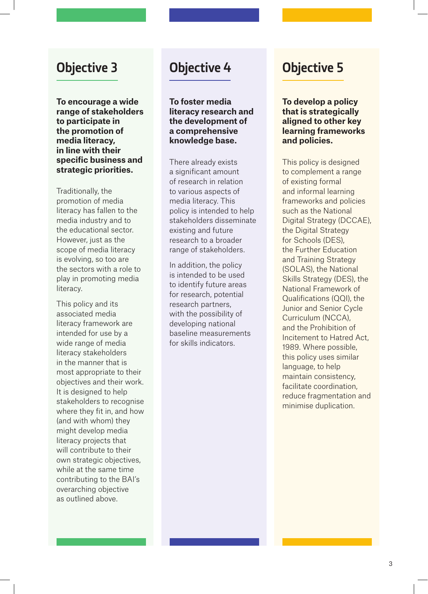### **Objective 3**

**To encourage a wide range of stakeholders to participate in the promotion of media literacy, in line with their specific business and strategic priorities.**

Traditionally, the promotion of media literacy has fallen to the media industry and to the educational sector. However, just as the scope of media literacy is evolving, so too are the sectors with a role to play in promoting media literacy.

This policy and its associated media literacy framework are intended for use by a wide range of media literacy stakeholders in the manner that is most appropriate to their objectives and their work. It is designed to help stakeholders to recognise where they fit in, and how (and with whom) they might develop media literacy projects that will contribute to their own strategic objectives, while at the same time contributing to the BAI's overarching objective as outlined above.

### **Objective 4**

**To foster media literacy research and the development of a comprehensive knowledge base.**

There already exists a significant amount of research in relation to various aspects of media literacy. This policy is intended to help stakeholders disseminate existing and future research to a broader range of stakeholders.

In addition, the policy is intended to be used to identify future areas for research, potential research partners, with the possibility of developing national baseline measurements for skills indicators.

# **Objective 5**

**To develop a policy that is strategically aligned to other key learning frameworks and policies.**

This policy is designed to complement a range of existing formal and informal learning frameworks and policies such as the National Digital Strategy (DCCAE), the Digital Strategy for Schools (DES), the Further Education and Training Strategy (SOLAS), the National Skills Strategy (DES), the National Framework of Qualifications (QQI), the Junior and Senior Cycle Curriculum (NCCA), and the Prohibition of Incitement to Hatred Act, 1989. Where possible, this policy uses similar language, to help maintain consistency, facilitate coordination, reduce fragmentation and minimise duplication.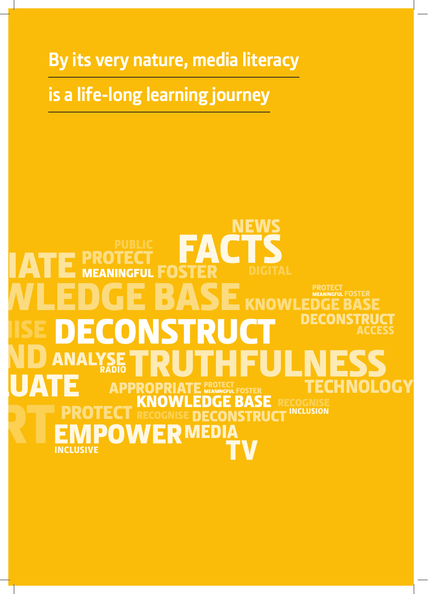**By its very nature, media literacy**

# **is a life-long learning journey**

# **NEWS MEANINGFUL PROTECT<br>MEANINGFUL FOSTER** DECO  $\overline{\phantom{a}}$ ACCESS $\blacktriangle$ RADIO TECHNOLOGY **INCLUSION** JCT MEDIA P) **I A TV** LUSIVE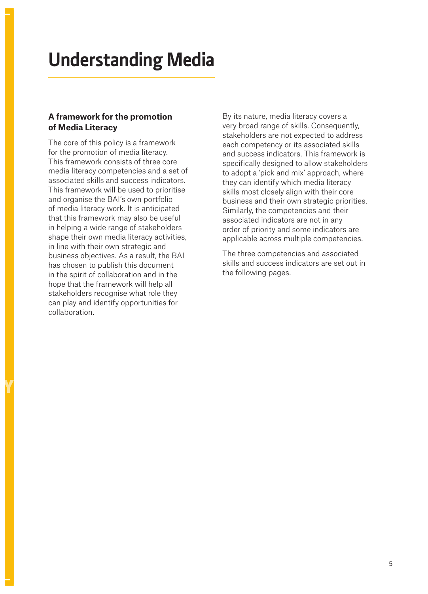# **Understanding Media**

#### **A framework for the promotion of Media Literacy**

The core of this policy is a framework for the promotion of media literacy. This framework consists of three core media literacy competencies and a set of associated skills and success indicators. This framework will be used to prioritise and organise the BAI's own portfolio of media literacy work. It is anticipated that this framework may also be useful in helping a wide range of stakeholders shape their own media literacy activities, in line with their own strategic and business objectives. As a result, the BAI has chosen to publish this document in the spirit of collaboration and in the hope that the framework will help all stakeholders recognise what role they can play and identify opportunities for collaboration.

Y

By its nature, media literacy covers a very broad range of skills. Consequently, stakeholders are not expected to address each competency or its associated skills and success indicators. This framework is specifically designed to allow stakeholders to adopt a 'pick and mix' approach, where they can identify which media literacy skills most closely align with their core business and their own strategic priorities. Similarly, the competencies and their associated indicators are not in any order of priority and some indicators are applicable across multiple competencies.

The three competencies and associated skills and success indicators are set out in the following pages.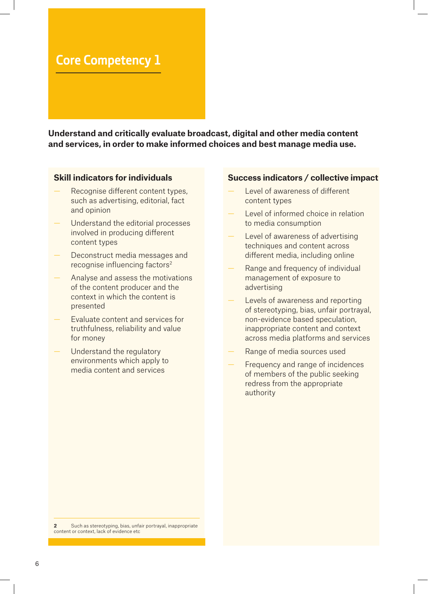### **Core Competency 1**

**Understand and critically evaluate broadcast, digital and other media content and services, in order to make informed choices and best manage media use.**

#### **Skill indicators for individuals**

- Recognise different content types, such as advertising, editorial, fact and opinion
- Understand the editorial processes involved in producing different content types
- Deconstruct media messages and recognise influencing factors2
- Analyse and assess the motivations of the content producer and the context in which the content is presented
- Evaluate content and services for truthfulness, reliability and value for money
- Understand the regulatory environments which apply to media content and services

#### **Success indicators / collective impact**

- Level of awareness of different content types
- Level of informed choice in relation to media consumption
- Level of awareness of advertising techniques and content across different media, including online
- Range and frequency of individual management of exposure to advertising
- Levels of awareness and reporting of stereotyping, bias, unfair portrayal, non-evidence based speculation, inappropriate content and context across media platforms and services
- Range of media sources used
- Frequency and range of incidences of members of the public seeking redress from the appropriate authority

**2** Such as stereotyping, bias, unfair portrayal, inappropriate content or context, lack of evidence etc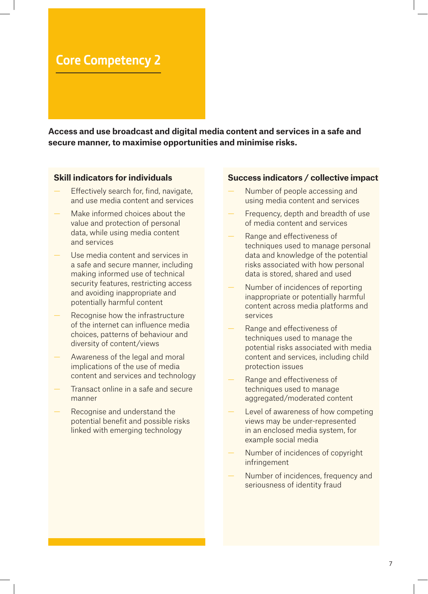### **Core Competency 2**

**Access and use broadcast and digital media content and services in a safe and secure manner, to maximise opportunities and minimise risks.**

#### **Skill indicators for individuals**

- Effectively search for, find, navigate, and use media content and services
- Make informed choices about the value and protection of personal data, while using media content and services
- Use media content and services in a safe and secure manner, including making informed use of technical security features, restricting access and avoiding inappropriate and potentially harmful content
- Recognise how the infrastructure of the internet can influence media choices, patterns of behaviour and diversity of content/views
- Awareness of the legal and moral implications of the use of media content and services and technology
- Transact online in a safe and secure manner
- Recognise and understand the potential benefit and possible risks linked with emerging technology

#### **Success indicators / collective impact**

- Number of people accessing and using media content and services
- Frequency, depth and breadth of use of media content and services
- Range and effectiveness of techniques used to manage personal data and knowledge of the potential risks associated with how personal data is stored, shared and used
- Number of incidences of reporting inappropriate or potentially harmful content across media platforms and services
- Range and effectiveness of techniques used to manage the potential risks associated with media content and services, including child protection issues
- Range and effectiveness of techniques used to manage aggregated/moderated content
- Level of awareness of how competing views may be under-represented in an enclosed media system, for example social media
- Number of incidences of copyright infringement
- Number of incidences, frequency and seriousness of identity fraud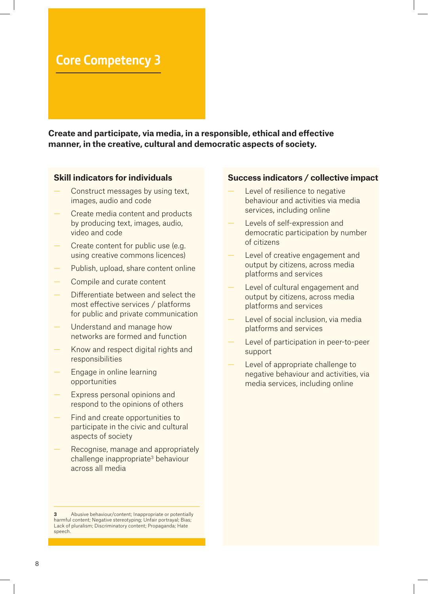### **Core Competency 3**

**Create and participate, via media, in a responsible, ethical and effective manner, in the creative, cultural and democratic aspects of society.**

#### **Skill indicators for individuals**

- Construct messages by using text, images, audio and code
- Create media content and products by producing text, images, audio, video and code
- Create content for public use (e.g. using creative commons licences)
- Publish, upload, share content online
- Compile and curate content
- Differentiate between and select the most effective services / platforms for public and private communication
- Understand and manage how networks are formed and function
- Know and respect digital rights and responsibilities
- Engage in online learning opportunities
- Express personal opinions and respond to the opinions of others
- Find and create opportunities to participate in the civic and cultural aspects of society
- Recognise, manage and appropriately challenge inappropriate<sup>3</sup> behaviour across all media

**3** Abusive behaviour/content; Inappropriate or potentially harmful content; Negative stereotyping; Unfair portrayal; Bias; Lack of pluralism; Discriminatory content; Propaganda; Hate speech.

#### **Success indicators / collective impact**

- Level of resilience to negative behaviour and activities via media services, including online
- Levels of self-expression and democratic participation by number of citizens
- Level of creative engagement and output by citizens, across media platforms and services
- Level of cultural engagement and output by citizens, across media platforms and services
- Level of social inclusion, via media platforms and services
- Level of participation in peer-to-peer support
- Level of appropriate challenge to negative behaviour and activities, via media services, including online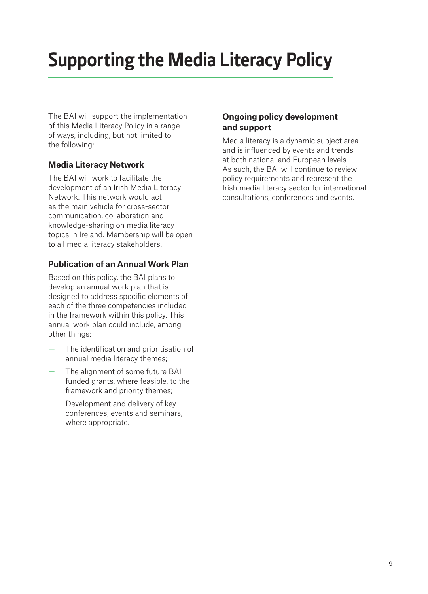# **Supporting the Media Literacy Policy**

The BAI will support the implementation of this Media Literacy Policy in a range of ways, including, but not limited to the following:

#### **Media Literacy Network**

The BAI will work to facilitate the development of an Irish Media Literacy Network. This network would act as the main vehicle for cross-sector communication, collaboration and knowledge-sharing on media literacy topics in Ireland. Membership will be open to all media literacy stakeholders.

#### **Publication of an Annual Work Plan**

Based on this policy, the BAI plans to develop an annual work plan that is designed to address specific elements of each of the three competencies included in the framework within this policy. This annual work plan could include, among other things:

- The identification and prioritisation of annual media literacy themes;
- The alignment of some future BAI funded grants, where feasible, to the framework and priority themes;
- Development and delivery of key conferences, events and seminars, where appropriate.

#### **Ongoing policy development and support**

Media literacy is a dynamic subject area and is influenced by events and trends at both national and European levels. As such, the BAI will continue to review policy requirements and represent the Irish media literacy sector for international consultations, conferences and events.